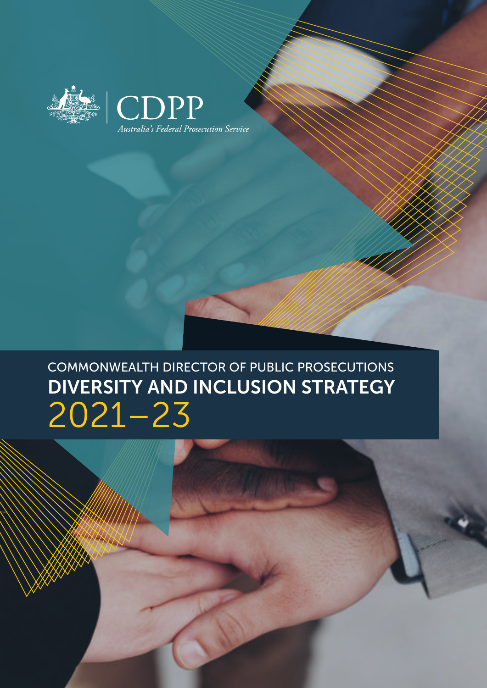



### DIVERSITY AND INCLUSION STRATEGY 2021–23 COMMONWEALTH DIRECTOR OF PUBLIC PROSECUTIONS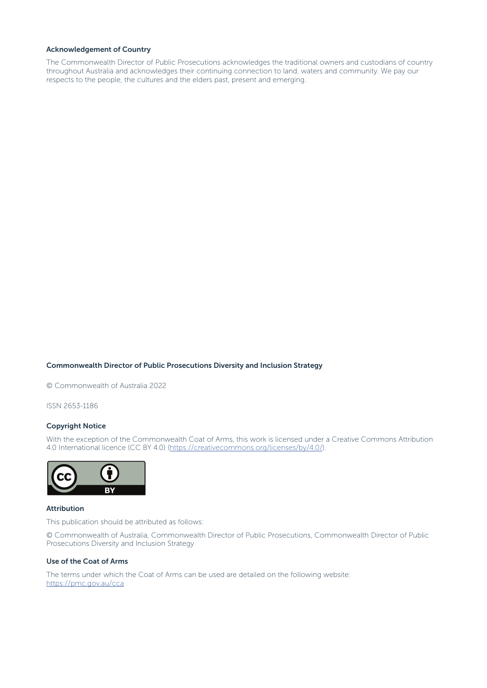#### Acknowledgement of Country

The Commonwealth Director of Public Prosecutions acknowledges the traditional owners and custodians of country throughout Australia and acknowledges their continuing connection to land, waters and community. We pay our respects to the people, the cultures and the elders past, present and emerging.

#### Commonwealth Director of Public Prosecutions Diversity and Inclusion Strategy

© Commonwealth of Australia 2022

ISSN 2653-1186

#### Copyright Notice

With the exception of the Commonwealth Coat of Arms, this work is licensed under a Creative Commons Attribution 4.0 International licence (CC BY 4.0) ([https://creativecommons.org/licenses/by/4.0/](mailto:https://creativecommons.org/licenses/by/4.0/?subject=)).



#### Attribution

This publication should be attributed as follows:

© Commonwealth of Australia, Commonwealth Director of Public Prosecutions, Commonwealth Director of Public Prosecutions Diversity and Inclusion Strategy

#### Use of the Coat of Arms

The terms under which the Coat of Arms can be used are detailed on the following website: [https://pmc.gov.au/cca](mailto:https://pmc.gov.au/cca?subject=)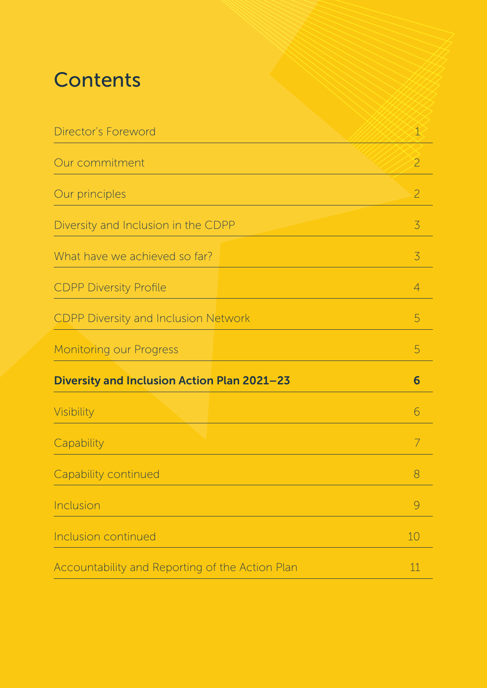### **Contents**

| Director's Foreword                             | $\mathbf 1$    |
|-------------------------------------------------|----------------|
| Our commitment                                  | $\overline{2}$ |
| Our principles                                  | $\overline{2}$ |
| Diversity and Inclusion in the CDPP             | 3              |
| What have we achieved so far?                   | $\overline{3}$ |
| <b>CDPP Diversity Profile</b>                   | $\overline{4}$ |
| <b>CDPP Diversity and Inclusion Network</b>     | 5              |
| <b>Monitoring our Progress</b>                  | 5              |
| Diversity and Inclusion Action Plan 2021-23     | 6              |
| Visibility                                      | 6              |
| Capability                                      | 7              |
| Capability continued                            | 8              |
| Inclusion                                       | 9              |
| <b>Inclusion continued</b>                      | 10             |
| Accountability and Reporting of the Action Plan | 11             |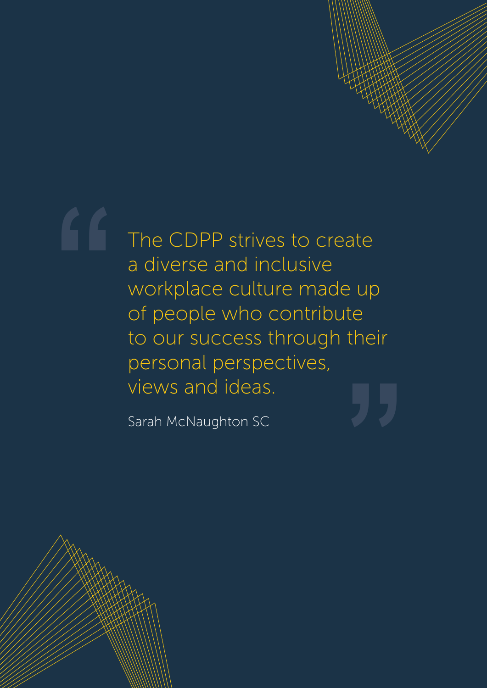# The CDPP strives to create a diverse and inclusive **"**

workplace culture made up of people who contribute to our success through their<br>personal perspectives,<br>"Yiews and ideas.<br><sup>Sarah McNaughton SC</sup> personal perspectives, views and ideas.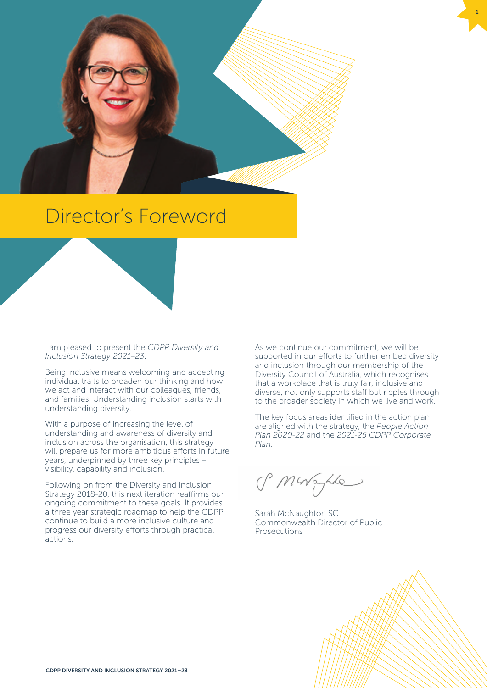<span id="page-4-0"></span>

### Director's Foreword

I am pleased to present the *CDPP Diversity and Inclusion Strategy 2021–23*.

Being inclusive means welcoming and accepting individual traits to broaden our thinking and how we act and interact with our colleagues, friends, and families. Understanding inclusion starts with understanding diversity.

With a purpose of increasing the level of understanding and awareness of diversity and inclusion across the organisation, this strategy will prepare us for more ambitious efforts in future years, underpinned by three key principles – visibility, capability and inclusion.

Following on from the Diversity and Inclusion Strategy 2018-20, this next iteration reaffirms our ongoing commitment to these goals. It provides a three year strategic roadmap to help the CDPP continue to build a more inclusive culture and progress our diversity efforts through practical actions.

As we continue our commitment, we will be supported in our efforts to further embed diversity and inclusion through our membership of the Diversity Council of Australia, which recognises that a workplace that is truly fair, inclusive and diverse, not only supports staff but ripples through to the broader society in which we live and work.

1

The key focus areas identified in the action plan are aligned with the strategy, the *People Action Plan 2020-22* and the *2021-25 CDPP Corporate Plan*.

PMWayhle

Sarah McNaughton SC Commonwealth Director of Public Prosecutions

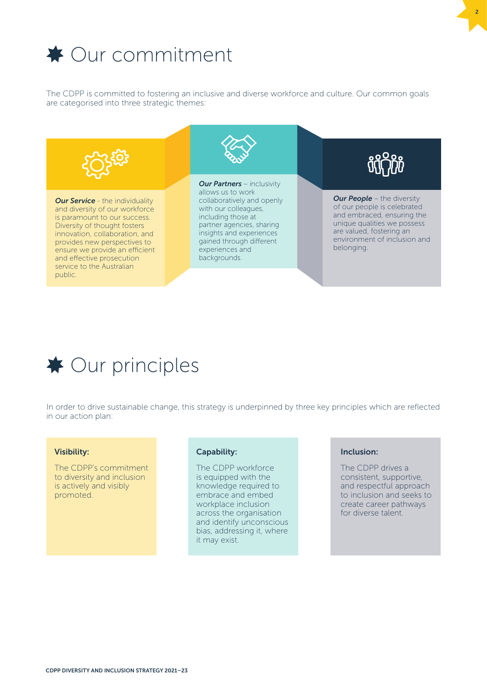<span id="page-5-0"></span>

The CDPP is committed to fostering an inclusive and diverse workforce and culture. Our common goals are categorised into three strategic themes:





In order to drive sustainable change, this strategy is underpinned by three key principles which are reflected in our action plan:

#### Visibility:

The CDPP's commitment to diversity and inclusion is actively and visibly promoted.

#### Capability:

The CDPP workforce is equipped with the knowledge required to embrace and embed workplace inclusion across the organisation and identify unconscious bias, addressing it, where it may exist.

#### Inclusion:

The CDPP drives a consistent, supportive, and respectful approach to inclusion and seeks to create career pathways for diverse talent.

2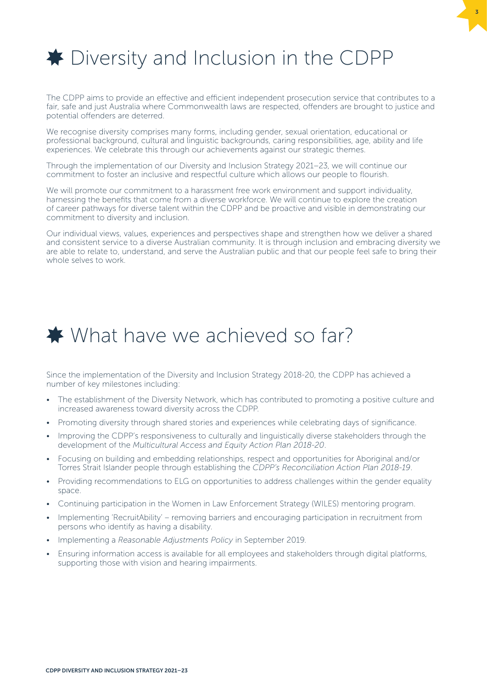<span id="page-6-0"></span>

The CDPP aims to provide an effective and efficient independent prosecution service that contributes to a fair, safe and just Australia where Commonwealth laws are respected, offenders are brought to justice and potential offenders are deterred.

3

We recognise diversity comprises many forms, including gender, sexual orientation, educational or professional background, cultural and linguistic backgrounds, caring responsibilities, age, ability and life experiences. We celebrate this through our achievements against our strategic themes.

Through the implementation of our Diversity and Inclusion Strategy 2021−23, we will continue our commitment to foster an inclusive and respectful culture which allows our people to flourish.

We will promote our commitment to a harassment free work environment and support individuality, harnessing the benefits that come from a diverse workforce. We will continue to explore the creation of career pathways for diverse talent within the CDPP and be proactive and visible in demonstrating our commitment to diversity and inclusion.

Our individual views, values, experiences and perspectives shape and strengthen how we deliver a shared and consistent service to a diverse Australian community. It is through inclusion and embracing diversity we are able to relate to, understand, and serve the Australian public and that our people feel safe to bring their whole selves to work.

### ◆ What have we achieved so far?

Since the implementation of the Diversity and Inclusion Strategy 2018-20, the CDPP has achieved a number of key milestones including:

- The establishment of the Diversity Network, which has contributed to promoting a positive culture and increased awareness toward diversity across the CDPP.
- Promoting diversity through shared stories and experiences while celebrating days of significance.
- Improving the CDPP's responsiveness to culturally and linguistically diverse stakeholders through the development of the *Multicultural Access and Equity Action Plan 2018-20*.
- Focusing on building and embedding relationships, respect and opportunities for Aboriginal and/or Torres Strait Islander people through establishing the *CDPP's Reconciliation Action Plan 2018-19*.
- Providing recommendations to ELG on opportunities to address challenges within the gender equality space.
- Continuing participation in the Women in Law Enforcement Strategy (WILES) mentoring program.
- Implementing 'RecruitAbility' removing barriers and encouraging participation in recruitment from persons who identify as having a disability.
- Implementing a *Reasonable Adjustments Policy* in September 2019.
- Ensuring information access is available for all employees and stakeholders through digital platforms, supporting those with vision and hearing impairments.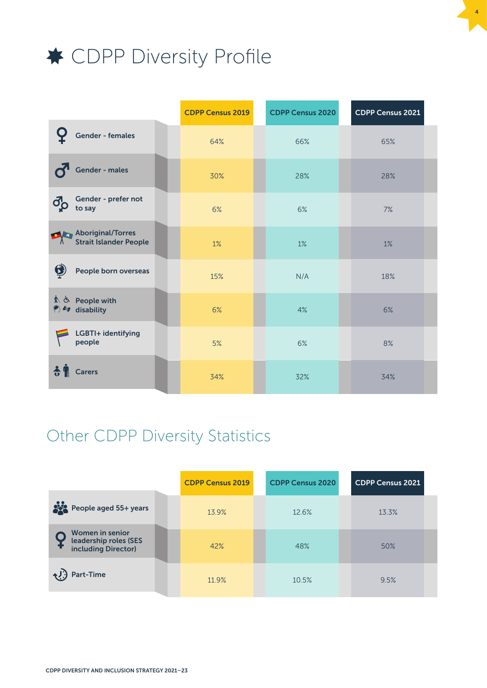<span id="page-7-0"></span>

|                                                       | <b>CDPP Census 2019</b> | <b>CDPP Census 2020</b> | CDPP Census 2021 |
|-------------------------------------------------------|-------------------------|-------------------------|------------------|
| Gender - females                                      | 64%                     | 66%                     | 65%              |
| <b>Gender - males</b>                                 | 30%                     | 28%                     | 28%              |
| Gender - prefer not<br>$\vec{q}^{\text{D}}$<br>to say | 6%                      | 6%                      | 7%               |
| Aboriginal/Torres<br>Strait Islander People           | 1%                      | 1%                      | 1%               |
| Q<br>People born overseas                             | 15%                     | N/A                     | 18%              |
| 木 う People with<br>♦ 6g disability                    | 6%                      | 4%                      | 6%               |
| LGBTI+ identifying<br>people                          | 5%                      | 6%                      | 8%               |
| <b>Carers</b><br>€                                    | 34%                     | 32%                     | 34%              |

4

### Other CDPP Diversity Statistics

|                                                                        | <b>CDPP Census 2019</b> | <b>CDPP Census 2020</b> | <b>CDPP Census 2021</b> |
|------------------------------------------------------------------------|-------------------------|-------------------------|-------------------------|
| People aged 55+ years                                                  | 13.9%                   | 12.6%                   | 13.3%                   |
| <b>Women in senior</b><br>leadership roles (SES<br>including Director) | 42%                     | 48%                     | 50%                     |
| ₹! Part-Time                                                           | 11.9%                   | 10.5%                   | 9.5%                    |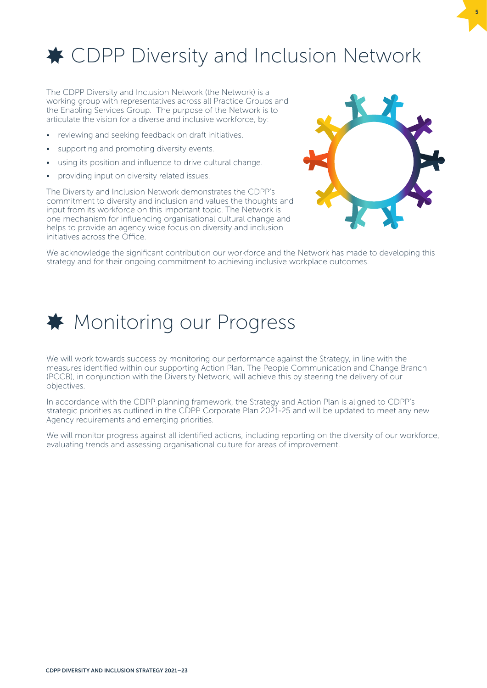<span id="page-8-0"></span>

The CDPP Diversity and Inclusion Network (the Network) is a working group with representatives across all Practice Groups and the Enabling Services Group. The purpose of the Network is to articulate the vision for a diverse and inclusive workforce, by:

- reviewing and seeking feedback on draft initiatives.
- supporting and promoting diversity events.
- using its position and influence to drive cultural change.
- providing input on diversity related issues.

The Diversity and Inclusion Network demonstrates the CDPP's commitment to diversity and inclusion and values the thoughts and input from its workforce on this important topic. The Network is one mechanism for influencing organisational cultural change and helps to provide an agency wide focus on diversity and inclusion initiatives across the Office.



5

We acknowledge the significant contribution our workforce and the Network has made to developing this strategy and for their ongoing commitment to achieving inclusive workplace outcomes.

### $\bigstar$  Monitoring our Progress

We will work towards success by monitoring our performance against the Strategy, in line with the measures identified within our supporting Action Plan. The People Communication and Change Branch (PCCB), in conjunction with the Diversity Network, will achieve this by steering the delivery of our objectives.

In accordance with the CDPP planning framework, the Strategy and Action Plan is aligned to CDPP's strategic priorities as outlined in the CDPP Corporate Plan 2021-25 and will be updated to meet any new Agency requirements and emerging priorities.

We will monitor progress against all identified actions, including reporting on the diversity of our workforce, evaluating trends and assessing organisational culture for areas of improvement.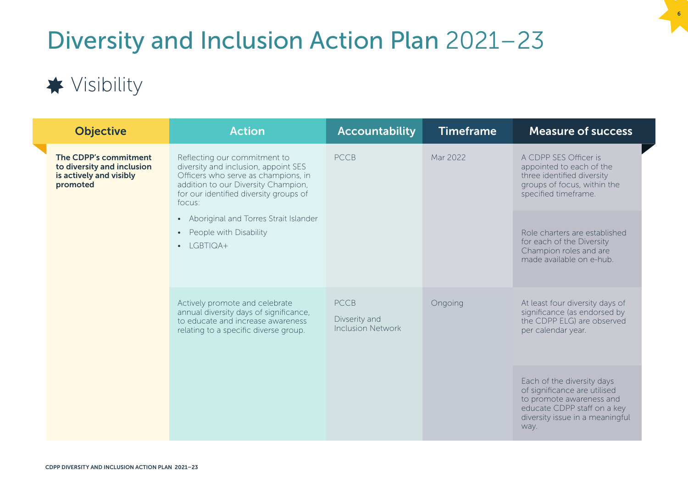## <span id="page-9-0"></span>Diversity and Inclusion Action Plan 2021–23

6

### **★** Visibility

|  | <b>Objective</b>                                                                                                                                       | <b>Action</b>                                                                                                                                                                                                                     | <b>Accountability</b>                                                                                                                  | <b>Timeframe</b>                                                                                                    | <b>Measure of success</b>                                                                                                                                        |
|--|--------------------------------------------------------------------------------------------------------------------------------------------------------|-----------------------------------------------------------------------------------------------------------------------------------------------------------------------------------------------------------------------------------|----------------------------------------------------------------------------------------------------------------------------------------|---------------------------------------------------------------------------------------------------------------------|------------------------------------------------------------------------------------------------------------------------------------------------------------------|
|  | The CDPP's commitment<br>to diversity and inclusion<br>is actively and visibly<br>promoted                                                             | <b>PCCB</b><br>Mar 2022<br>Reflecting our commitment to<br>diversity and inclusion, appoint SES<br>Officers who serve as champions, in<br>addition to our Diversity Champion,<br>for our identified diversity groups of<br>focus: | A CDPP SES Officer is<br>appointed to each of the<br>three identified diversity<br>groups of focus, within the<br>specified timeframe. |                                                                                                                     |                                                                                                                                                                  |
|  |                                                                                                                                                        | • Aboriginal and Torres Strait Islander<br>People with Disability<br>$\bullet$<br>LGBTIQA+<br>$\bullet$                                                                                                                           |                                                                                                                                        |                                                                                                                     | Role charters are established<br>for each of the Diversity<br>Champion roles and are<br>made available on e-hub.                                                 |
|  | Actively promote and celebrate<br>annual diversity days of significance,<br>to educate and increase awareness<br>relating to a specific diverse group. | <b>PCCB</b><br>Divserity and<br><b>Inclusion Network</b>                                                                                                                                                                          | Ongoing                                                                                                                                | At least four diversity days of<br>significance (as endorsed by<br>the CDPP ELG) are observed<br>per calendar year. |                                                                                                                                                                  |
|  |                                                                                                                                                        |                                                                                                                                                                                                                                   |                                                                                                                                        |                                                                                                                     | Each of the diversity days<br>of significance are utilised<br>to promote awareness and<br>educate CDPP staff on a key<br>diversity issue in a meaningful<br>way. |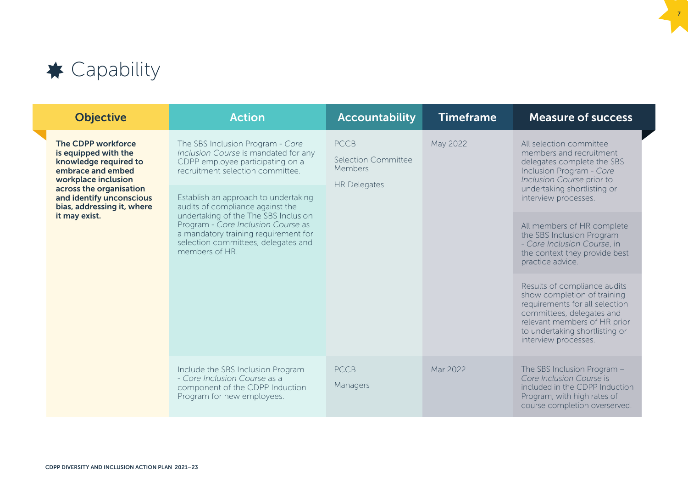<span id="page-10-0"></span>

| <b>Objective</b>                                                                                                                                                       | <b>Action</b>                                                                                                                                                                                                   | <b>Accountability</b>                                                       | <b>Timeframe</b> | <b>Measure of success</b>                                                                                                                                                                                            |
|------------------------------------------------------------------------------------------------------------------------------------------------------------------------|-----------------------------------------------------------------------------------------------------------------------------------------------------------------------------------------------------------------|-----------------------------------------------------------------------------|------------------|----------------------------------------------------------------------------------------------------------------------------------------------------------------------------------------------------------------------|
| The CDPP workforce<br>is equipped with the<br>knowledge required to<br>embrace and embed<br>workplace inclusion<br>across the organisation<br>and identify unconscious | The SBS Inclusion Program - Core<br>Inclusion Course is mandated for any<br>CDPP employee participating on a<br>recruitment selection committee.<br>Establish an approach to undertaking                        | <b>PCCB</b><br><b>Selection Committee</b><br>Members<br><b>HR Delegates</b> | May 2022         | All selection committee<br>members and recruitment<br>delegates complete the SBS<br>Inclusion Program - Core<br>Inclusion Course prior to<br>undertaking shortlisting or<br>interview processes.                     |
| bias, addressing it, where<br>it may exist.                                                                                                                            | audits of compliance against the<br>undertaking of the The SBS Inclusion<br>Program - Core Inclusion Course as<br>a mandatory training requirement for<br>selection committees, delegates and<br>members of HR. |                                                                             |                  | All members of HR complete<br>the SBS Inclusion Program<br>- Core Inclusion Course, in<br>the context they provide best<br>practice advice.                                                                          |
|                                                                                                                                                                        |                                                                                                                                                                                                                 |                                                                             |                  | Results of compliance audits<br>show completion of training<br>requirements for all selection<br>committees, delegates and<br>relevant members of HR prior<br>to undertaking shortlisting or<br>interview processes. |
|                                                                                                                                                                        | Include the SBS Inclusion Program<br>- Core Inclusion Course as a<br>component of the CDPP Induction<br>Program for new employees.                                                                              | <b>PCCB</b><br>Managers                                                     | Mar 2022         | The SBS Inclusion Program -<br>Core Inclusion Course is<br>included in the CDPP Induction<br>Program, with high rates of<br>course completion overserved.                                                            |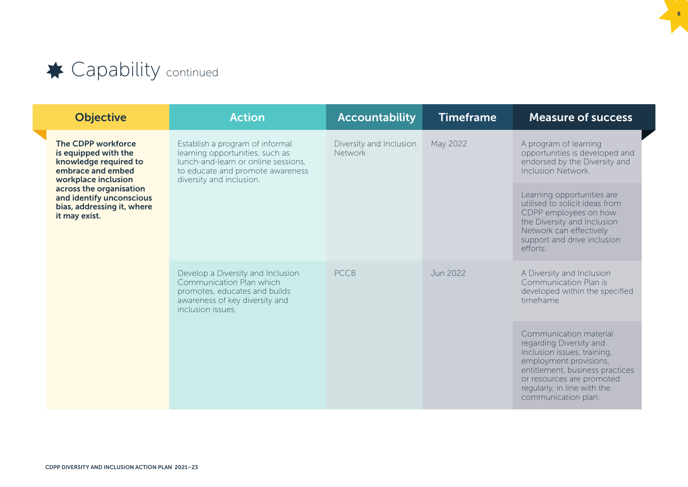<span id="page-11-0"></span>

|  | <b>Objective</b>                                                                                                                                                                                                             | <b>Action</b>                                                                                                                                                                                   | <b>Accountability</b>    | <b>Timeframe</b> | <b>Measure of success</b>                                                                                                                                                                                                        |                                                                                                                      |
|--|------------------------------------------------------------------------------------------------------------------------------------------------------------------------------------------------------------------------------|-------------------------------------------------------------------------------------------------------------------------------------------------------------------------------------------------|--------------------------|------------------|----------------------------------------------------------------------------------------------------------------------------------------------------------------------------------------------------------------------------------|----------------------------------------------------------------------------------------------------------------------|
|  | <b>The CDPP workforce</b><br>is equipped with the<br>knowledge required to<br>embrace and embed<br>workplace inclusion<br>across the organisation<br>and identify unconscious<br>bias, addressing it, where<br>it may exist. | Diversity and Inclusion<br>May 2022<br>Establish a program of informal<br>learning opportunities, such as<br>Network<br>lunch-and-learn or online sessions,<br>to educate and promote awareness | diversity and inclusion. |                  |                                                                                                                                                                                                                                  | A program of learning<br>opportunities is developed and<br>endorsed by the Diversity and<br><b>Inclusion Network</b> |
|  |                                                                                                                                                                                                                              |                                                                                                                                                                                                 |                          |                  | Learning opportunities are<br>utilised to solicit ideas from<br>CDPP employees on how<br>the Diversity and Inclusion<br>Network can effectively<br>support and drive inclusion<br>efforts.                                       |                                                                                                                      |
|  |                                                                                                                                                                                                                              | Develop a Diversity and Inclusion<br>Communication Plan which<br>promotes, educates and builds<br>awareness of key diversity and<br>inclusion issues.                                           | <b>PCCB</b>              | Jun 2022         | A Diversity and Inclusion<br>Communication Plan is<br>developed within the specified<br>timeframe                                                                                                                                |                                                                                                                      |
|  |                                                                                                                                                                                                                              |                                                                                                                                                                                                 |                          |                  | Communication material<br>regarding Diversity and<br>Inclusion issues, training,<br>employment provisions,<br>entitlement, business practices<br>or resources are promoted<br>regularly, in line with the<br>communication plan. |                                                                                                                      |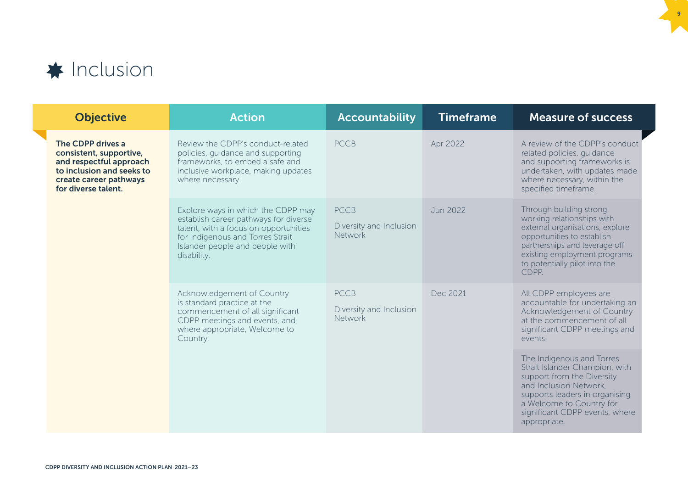<span id="page-12-0"></span>

|  | <b>Objective</b>                                                                                                                                      | <b>Action</b>                                                                                                                                                                                              | <b>Accountability</b>                                    | <b>Timeframe</b> | <b>Measure of success</b>                                                                                                                                                                                                           |
|--|-------------------------------------------------------------------------------------------------------------------------------------------------------|------------------------------------------------------------------------------------------------------------------------------------------------------------------------------------------------------------|----------------------------------------------------------|------------------|-------------------------------------------------------------------------------------------------------------------------------------------------------------------------------------------------------------------------------------|
|  | The CDPP drives a<br>consistent, supportive,<br>and respectful approach<br>to inclusion and seeks to<br>create career pathways<br>for diverse talent. | Review the CDPP's conduct-related<br>policies, quidance and supporting<br>frameworks, to embed a safe and<br>inclusive workplace, making updates<br>where necessary.                                       | <b>PCCB</b>                                              | Apr 2022         | A review of the CDPP's conduct<br>related policies, quidance<br>and supporting frameworks is<br>undertaken, with updates made<br>where necessary, within the<br>specified timeframe.                                                |
|  |                                                                                                                                                       | Explore ways in which the CDPP may<br>establish career pathways for diverse<br>talent, with a focus on opportunities<br>for Indigenous and Torres Strait<br>Islander people and people with<br>disability. | <b>PCCB</b><br>Diversity and Inclusion<br><b>Network</b> | Jun 2022         | Through building strong<br>working relationships with<br>external organisations, explore<br>opportunities to establish<br>partnerships and leverage off<br>existing employment programs<br>to potentially pilot into the<br>CDPP.   |
|  |                                                                                                                                                       | Acknowledgement of Country<br>is standard practice at the<br>commencement of all significant<br>CDPP meetings and events, and,<br>where appropriate, Welcome to<br>Country.                                | <b>PCCB</b><br>Diversity and Inclusion<br>Network        | Dec 2021         | All CDPP employees are<br>accountable for undertaking an<br>Acknowledgement of Country<br>at the commencement of all<br>significant CDPP meetings and<br>events.                                                                    |
|  |                                                                                                                                                       |                                                                                                                                                                                                            |                                                          |                  | The Indigenous and Torres<br>Strait Islander Champion, with<br>support from the Diversity<br>and Inclusion Network,<br>supports leaders in organising<br>a Welcome to Country for<br>significant CDPP events, where<br>appropriate. |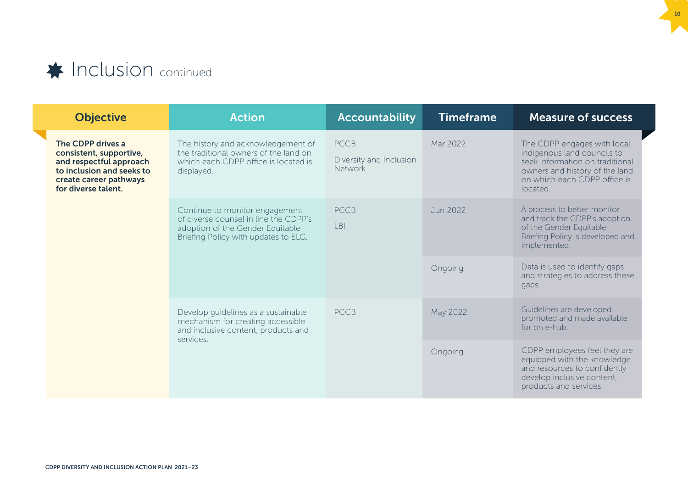### <span id="page-13-0"></span>**Inclusion** continued

| <b>Objective</b>                                                                                                                                      | <b>Action</b>                                                                                                                                                                                                                                                                                                            | <b>Accountability</b>                                    | <b>Timeframe</b> | <b>Measure of success</b>                                                                                                                                                   |
|-------------------------------------------------------------------------------------------------------------------------------------------------------|--------------------------------------------------------------------------------------------------------------------------------------------------------------------------------------------------------------------------------------------------------------------------------------------------------------------------|----------------------------------------------------------|------------------|-----------------------------------------------------------------------------------------------------------------------------------------------------------------------------|
| The CDPP drives a<br>consistent, supportive,<br>and respectful approach<br>to inclusion and seeks to<br>create career pathways<br>for diverse talent. | The history and acknowledgement of<br>the traditional owners of the land on<br>which each CDPP office is located is<br>displayed.                                                                                                                                                                                        | <b>PCCB</b><br>Diversity and Inclusion<br><b>Network</b> | Mar 2022         | The CDPP engages with local<br>indigenous land councils to<br>seek information on traditional<br>owners and history of the land<br>on which each CDPP office is<br>located. |
|                                                                                                                                                       | <b>PCCB</b><br>Continue to monitor engagement<br>of diverse counsel in line the CDPP's<br>LBI<br>adoption of the Gender Equitable<br>Briefing Policy with updates to ELG.<br><b>PCCB</b><br>Develop quidelines as a sustainable<br>mechanism for creating accessible<br>and inclusive content, products and<br>services. |                                                          | Jun 2022         | A process to better monitor<br>and track the CDPP's adoption<br>of the Gender Equitable<br>Briefing Policy is developed and<br>implemented.                                 |
|                                                                                                                                                       |                                                                                                                                                                                                                                                                                                                          |                                                          | Ongoing          | Data is used to identify gaps<br>and strategies to address these<br>gaps.                                                                                                   |
|                                                                                                                                                       |                                                                                                                                                                                                                                                                                                                          |                                                          | May 2022         | Guidelines are developed,<br>promoted and made available<br>for on e-hub.                                                                                                   |
|                                                                                                                                                       |                                                                                                                                                                                                                                                                                                                          |                                                          | Ongoing          | CDPP employees feel they are<br>equipped with the knowledge<br>and resources to confidently<br>develop inclusive content,<br>products and services.                         |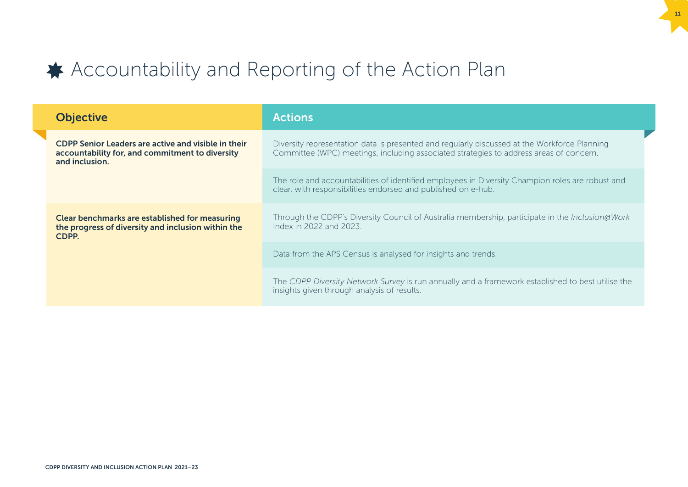### <span id="page-14-0"></span>◆ Accountability and Reporting of the Action Plan

| <b>Objective</b>                                                                                                         | <b>Actions</b>                                                                                                                                                                         |
|--------------------------------------------------------------------------------------------------------------------------|----------------------------------------------------------------------------------------------------------------------------------------------------------------------------------------|
| CDPP Senior Leaders are active and visible in their<br>accountability for, and commitment to diversity<br>and inclusion. | Diversity representation data is presented and regularly discussed at the Workforce Planning<br>Committee (WPC) meetings, including associated strategies to address areas of concern. |
|                                                                                                                          | The role and accountabilities of identified employees in Diversity Champion roles are robust and<br>clear, with responsibilities endorsed and published on e-hub.                      |
| <b>Clear benchmarks are established for measuring</b><br>the progress of diversity and inclusion within the<br>CDPP.     | Through the CDPP's Diversity Council of Australia membership, participate in the Inclusion@Work<br>Index in 2022 and 2023.                                                             |
|                                                                                                                          | Data from the APS Census is analysed for insights and trends.                                                                                                                          |
|                                                                                                                          | The CDPP Diversity Network Survey is run annually and a framework established to best utilise the<br>insights given through analysis of results.                                       |